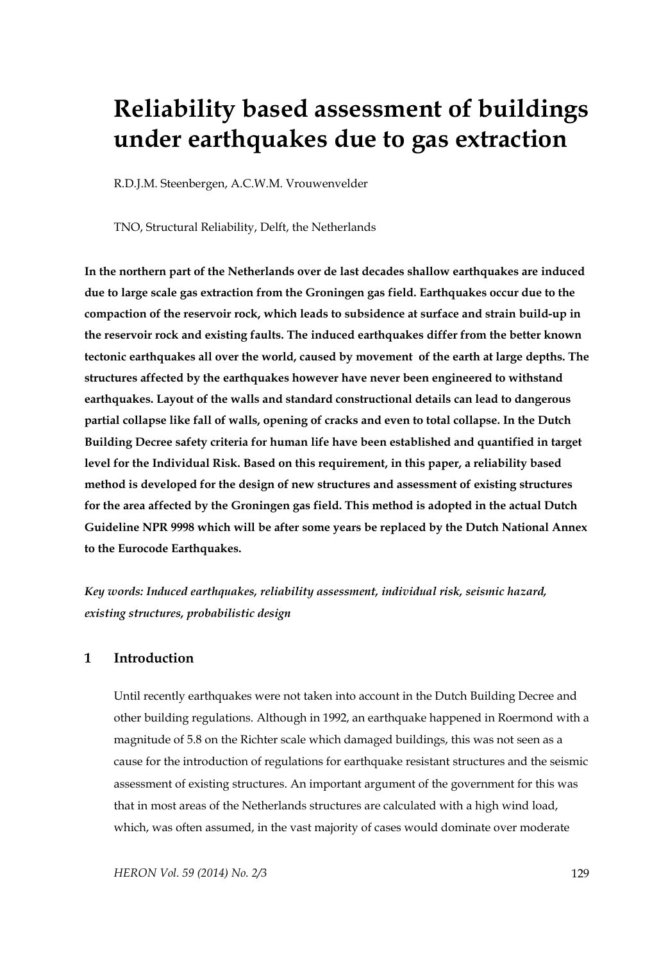# **Reliability based assessment of buildings under earthquakes due to gas extraction**

R.D.J.M. Steenbergen, A.C.W.M. Vrouwenvelder

TNO, Structural Reliability, Delft, the Netherlands

**In the northern part of the Netherlands over de last decades shallow earthquakes are induced due to large scale gas extraction from the Groningen gas field. Earthquakes occur due to the compaction of the reservoir rock, which leads to subsidence at surface and strain build-up in the reservoir rock and existing faults. The induced earthquakes differ from the better known tectonic earthquakes all over the world, caused by movement of the earth at large depths. The structures affected by the earthquakes however have never been engineered to withstand earthquakes. Layout of the walls and standard constructional details can lead to dangerous partial collapse like fall of walls, opening of cracks and even to total collapse. In the Dutch Building Decree safety criteria for human life have been established and quantified in target level for the Individual Risk. Based on this requirement, in this paper, a reliability based method is developed for the design of new structures and assessment of existing structures for the area affected by the Groningen gas field. This method is adopted in the actual Dutch Guideline NPR 9998 which will be after some years be replaced by the Dutch National Annex to the Eurocode Earthquakes.** 

*Key words: Induced earthquakes, reliability assessment, individual risk, seismic hazard, existing structures, probabilistic design* 

## **1 Introduction**

Until recently earthquakes were not taken into account in the Dutch Building Decree and other building regulations. Although in 1992, an earthquake happened in Roermond with a magnitude of 5.8 on the Richter scale which damaged buildings, this was not seen as a cause for the introduction of regulations for earthquake resistant structures and the seismic assessment of existing structures. An important argument of the government for this was that in most areas of the Netherlands structures are calculated with a high wind load, which, was often assumed, in the vast majority of cases would dominate over moderate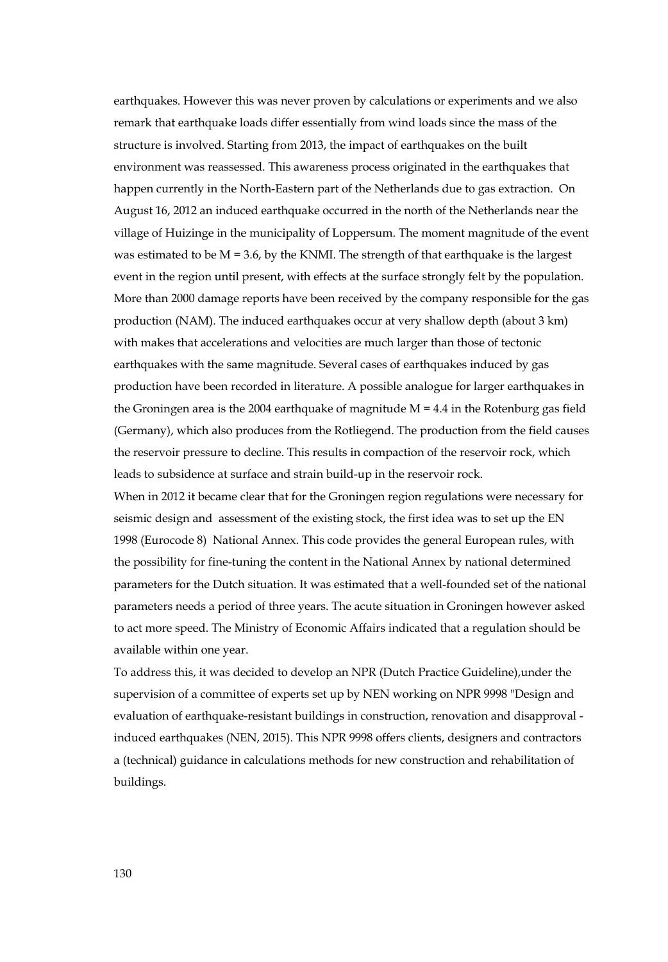earthquakes. However this was never proven by calculations or experiments and we also remark that earthquake loads differ essentially from wind loads since the mass of the structure is involved. Starting from 2013, the impact of earthquakes on the built environment was reassessed. This awareness process originated in the earthquakes that happen currently in the North-Eastern part of the Netherlands due to gas extraction. On August 16, 2012 an induced earthquake occurred in the north of the Netherlands near the village of Huizinge in the municipality of Loppersum. The moment magnitude of the event was estimated to be  $M = 3.6$ , by the KNMI. The strength of that earthquake is the largest event in the region until present, with effects at the surface strongly felt by the population. More than 2000 damage reports have been received by the company responsible for the gas production (NAM). The induced earthquakes occur at very shallow depth (about 3 km) with makes that accelerations and velocities are much larger than those of tectonic earthquakes with the same magnitude. Several cases of earthquakes induced by gas production have been recorded in literature. A possible analogue for larger earthquakes in the Groningen area is the 2004 earthquake of magnitude  $M = 4.4$  in the Rotenburg gas field (Germany), which also produces from the Rotliegend. The production from the field causes the reservoir pressure to decline. This results in compaction of the reservoir rock, which leads to subsidence at surface and strain build-up in the reservoir rock.

When in 2012 it became clear that for the Groningen region regulations were necessary for seismic design and assessment of the existing stock, the first idea was to set up the EN 1998 (Eurocode 8) National Annex. This code provides the general European rules, with the possibility for fine-tuning the content in the National Annex by national determined parameters for the Dutch situation. It was estimated that a well-founded set of the national parameters needs a period of three years. The acute situation in Groningen however asked to act more speed. The Ministry of Economic Affairs indicated that a regulation should be available within one year.

To address this, it was decided to develop an NPR (Dutch Practice Guideline),under the supervision of a committee of experts set up by NEN working on NPR 9998 "Design and evaluation of earthquake-resistant buildings in construction, renovation and disapproval induced earthquakes (NEN, 2015). This NPR 9998 offers clients, designers and contractors a (technical) guidance in calculations methods for new construction and rehabilitation of buildings.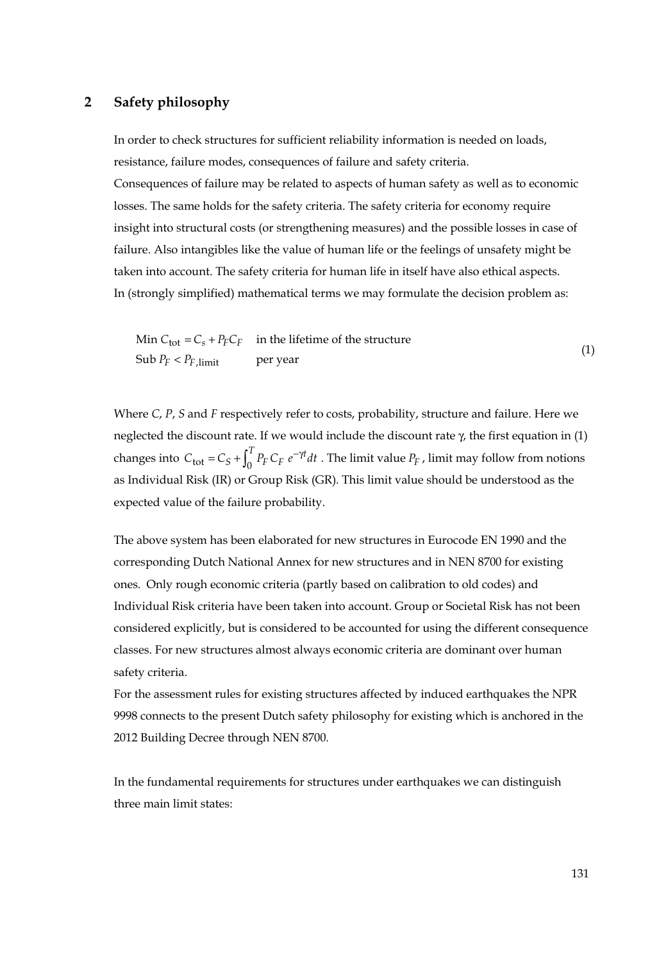## **2 Safety philosophy**

In order to check structures for sufficient reliability information is needed on loads, resistance, failure modes, consequences of failure and safety criteria. Consequences of failure may be related to aspects of human safety as well as to economic losses. The same holds for the safety criteria. The safety criteria for economy require insight into structural costs (or strengthening measures) and the possible losses in case of failure. Also intangibles like the value of human life or the feelings of unsafety might be taken into account. The safety criteria for human life in itself have also ethical aspects. In (strongly simplified) mathematical terms we may formulate the decision problem as:

Min 
$$
C_{\text{tot}} = C_s + P_F C_F
$$
 in the lifetime of the structure  
Sub  $P_F < P_{F,\text{limit}}$  per year (1)

Where *C*, *P*, *S* and *F* respectively refer to costs, probability, structure and failure. Here we neglected the discount rate. If we would include the discount rate  $\gamma$ , the first equation in (1) changes into  $C_{\text{tot}} = C_S + \int_0^T P_F C_F e^{-\gamma t} dt$ . The limit value  $P_F$ , limit may follow from notions as Individual Risk (IR) or Group Risk (GR). This limit value should be understood as the expected value of the failure probability.

The above system has been elaborated for new structures in Eurocode EN 1990 and the corresponding Dutch National Annex for new structures and in NEN 8700 for existing ones. Only rough economic criteria (partly based on calibration to old codes) and Individual Risk criteria have been taken into account. Group or Societal Risk has not been considered explicitly, but is considered to be accounted for using the different consequence classes. For new structures almost always economic criteria are dominant over human safety criteria.

For the assessment rules for existing structures affected by induced earthquakes the NPR 9998 connects to the present Dutch safety philosophy for existing which is anchored in the 2012 Building Decree through NEN 8700.

In the fundamental requirements for structures under earthquakes we can distinguish three main limit states: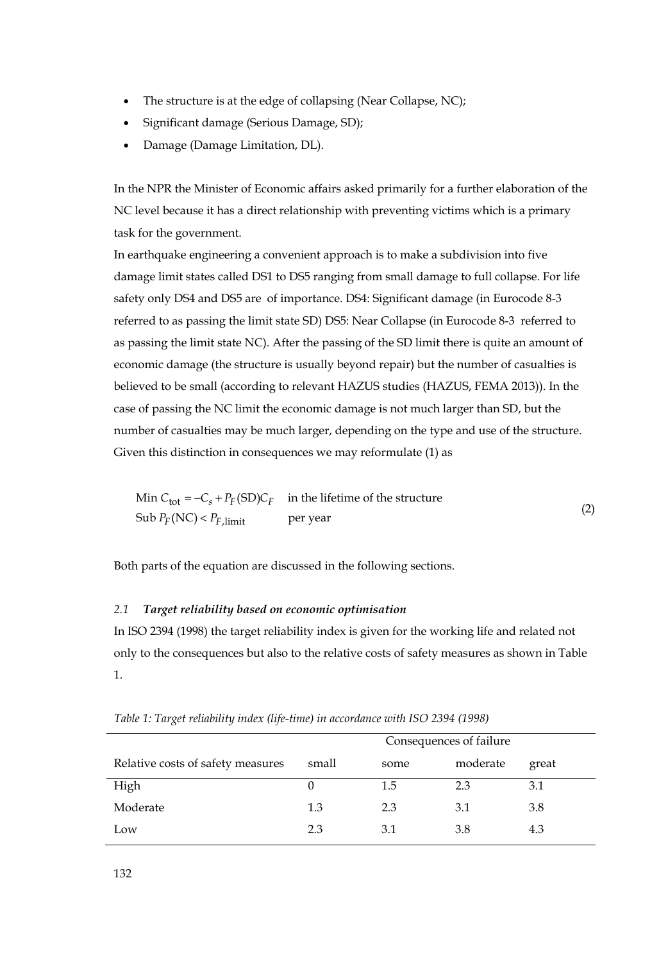- The structure is at the edge of collapsing (Near Collapse, NC);
- Significant damage (Serious Damage, SD);
- Damage (Damage Limitation, DL).

In the NPR the Minister of Economic affairs asked primarily for a further elaboration of the NC level because it has a direct relationship with preventing victims which is a primary task for the government.

In earthquake engineering a convenient approach is to make a subdivision into five damage limit states called DS1 to DS5 ranging from small damage to full collapse. For life safety only DS4 and DS5 are of importance. DS4: Significant damage (in Eurocode 8-3 referred to as passing the limit state SD) DS5: Near Collapse (in Eurocode 8-3 referred to as passing the limit state NC). After the passing of the SD limit there is quite an amount of economic damage (the structure is usually beyond repair) but the number of casualties is believed to be small (according to relevant HAZUS studies (HAZUS, FEMA 2013)). In the case of passing the NC limit the economic damage is not much larger than SD, but the number of casualties may be much larger, depending on the type and use of the structure. Given this distinction in consequences we may reformulate (1) as

Min  $C_{\text{tot}} = -C_s + P_F(\text{SD})C_F$  in the lifetime of the structure  $\text{Sub } P_F(\text{NC}) < P_{F,\text{limit}}$  per year (2)

Both parts of the equation are discussed in the following sections.

## *2.1 Target reliability based on economic optimisation*

In ISO 2394 (1998) the target reliability index is given for the working life and related not only to the consequences but also to the relative costs of safety measures as shown in Table 1.

|                                   | Consequences of failure |      |          |       |  |
|-----------------------------------|-------------------------|------|----------|-------|--|
| Relative costs of safety measures | small                   | some | moderate | great |  |
| High                              |                         | 1.5  | 23       | 3.1   |  |
| Moderate                          | 1.3                     | 2.3  | 3.1      | 3.8   |  |
| Low                               | 2.3                     | 3.1  | 3.8      | 4.3   |  |

*Table 1: Target reliability index (life-time) in accordance with ISO 2394 (1998)*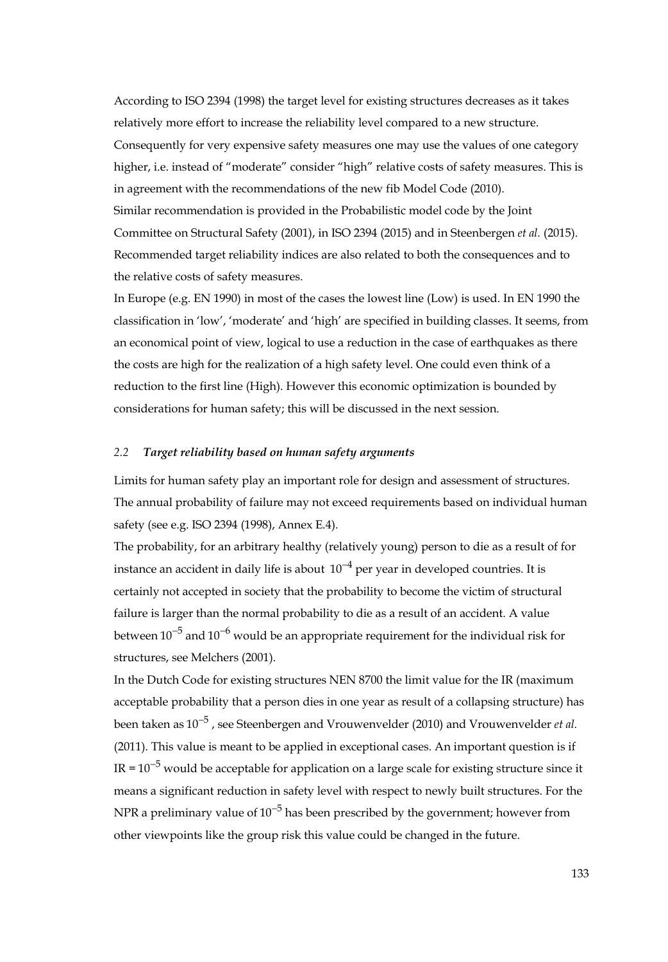According to ISO 2394 (1998) the target level for existing structures decreases as it takes relatively more effort to increase the reliability level compared to a new structure. Consequently for very expensive safety measures one may use the values of one category higher, i.e. instead of "moderate" consider "high" relative costs of safety measures. This is in agreement with the recommendations of the new fib Model Code (2010). Similar recommendation is provided in the Probabilistic model code by the Joint Committee on Structural Safety (2001), in ISO 2394 (2015) and in Steenbergen *et al.* (2015). Recommended target reliability indices are also related to both the consequences and to the relative costs of safety measures.

In Europe (e.g. EN 1990) in most of the cases the lowest line (Low) is used. In EN 1990 the classification in 'low', 'moderate' and 'high' are specified in building classes. It seems, from an economical point of view, logical to use a reduction in the case of earthquakes as there the costs are high for the realization of a high safety level. One could even think of a reduction to the first line (High). However this economic optimization is bounded by considerations for human safety; this will be discussed in the next session.

#### *2.2 Target reliability based on human safety arguments*

Limits for human safety play an important role for design and assessment of structures. The annual probability of failure may not exceed requirements based on individual human safety (see e.g. ISO 2394 (1998), Annex E.4).

The probability, for an arbitrary healthy (relatively young) person to die as a result of for instance an accident in daily life is about  $10^{-4}$  per year in developed countries. It is certainly not accepted in society that the probability to become the victim of structural failure is larger than the normal probability to die as a result of an accident. A value between  $10^{-5}$  and  $10^{-6}$  would be an appropriate requirement for the individual risk for structures, see Melchers (2001).

In the Dutch Code for existing structures NEN 8700 the limit value for the IR (maximum acceptable probability that a person dies in one year as result of a collapsing structure) has been taken as 10<sup>-5</sup>, see Steenbergen and Vrouwenvelder (2010) and Vrouwenvelder *et al.* (2011). This value is meant to be applied in exceptional cases. An important question is if IR =  $10^{-5}$  would be acceptable for application on a large scale for existing structure since it means a significant reduction in safety level with respect to newly built structures. For the NPR a preliminary value of  $10^{-5}$  has been prescribed by the government; however from other viewpoints like the group risk this value could be changed in the future.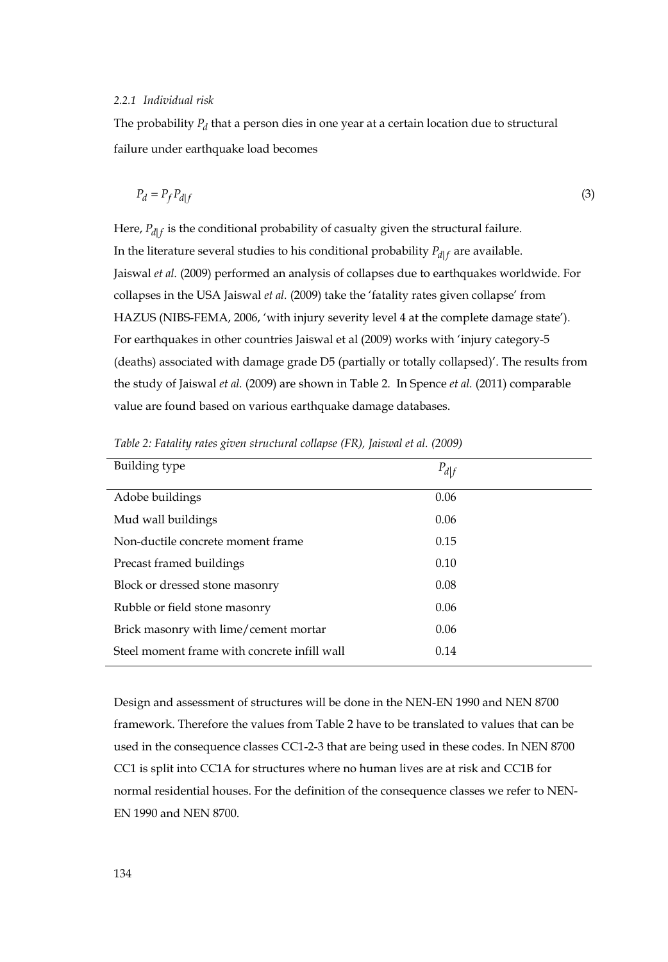#### *2.2.1 Individual risk*

The probability *P<sub>d</sub>* that a person dies in one year at a certain location due to structural failure under earthquake load becomes

$$
P_d = P_f P_{d|f} \tag{3}
$$

Here,  $P_{d|f}$  is the conditional probability of casualty given the structural failure. In the literature several studies to his conditional probability  $P_{d|f}$  are available. Jaiswal *et al.* (2009) performed an analysis of collapses due to earthquakes worldwide. For collapses in the USA Jaiswal *et al.* (2009) take the 'fatality rates given collapse' from HAZUS (NIBS-FEMA, 2006, 'with injury severity level 4 at the complete damage state'). For earthquakes in other countries Jaiswal et al (2009) works with 'injury category-5 (deaths) associated with damage grade D5 (partially or totally collapsed)'. The results from the study of Jaiswal *et al.* (2009) are shown in Table 2. In Spence *et al.* (2011) comparable value are found based on various earthquake damage databases.

| Building type                                | $P_{d f}$ |  |
|----------------------------------------------|-----------|--|
| Adobe buildings                              | 0.06      |  |
| Mud wall buildings                           | 0.06      |  |
| Non-ductile concrete moment frame            | 0.15      |  |
| Precast framed buildings                     | 0.10      |  |
| Block or dressed stone masonry               | 0.08      |  |
| Rubble or field stone masonry                | 0.06      |  |
| Brick masonry with lime/cement mortar        | 0.06      |  |
| Steel moment frame with concrete infill wall | 0.14      |  |

*Table 2: Fatality rates given structural collapse (FR), Jaiswal et al. (2009)* 

Design and assessment of structures will be done in the NEN-EN 1990 and NEN 8700 framework. Therefore the values from Table 2 have to be translated to values that can be used in the consequence classes CC1-2-3 that are being used in these codes. In NEN 8700 CC1 is split into CC1A for structures where no human lives are at risk and CC1B for normal residential houses. For the definition of the consequence classes we refer to NEN-EN 1990 and NEN 8700.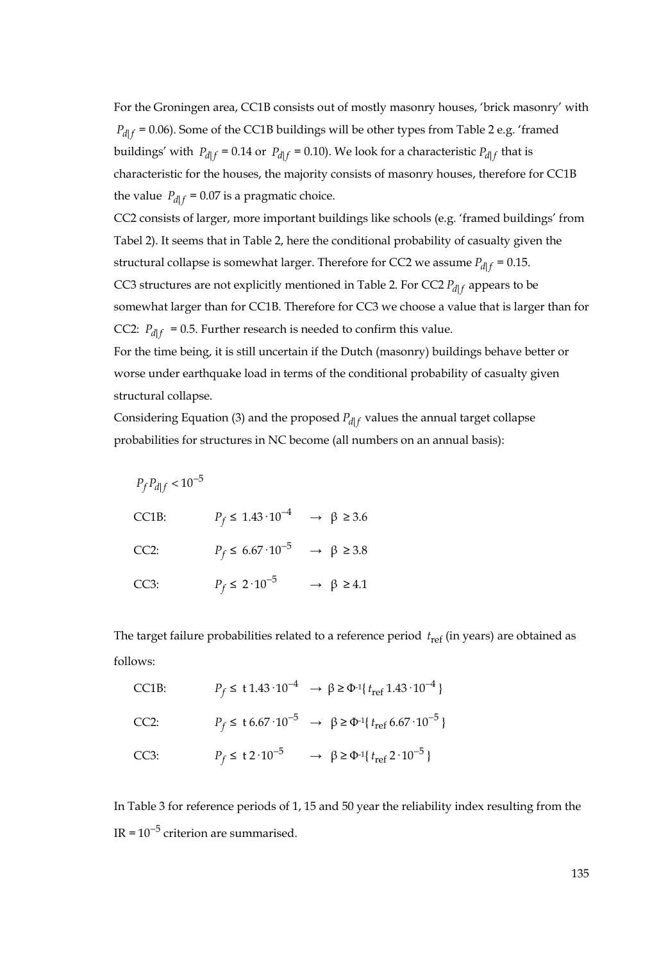For the Groningen area, CC1B consists out of mostly masonry houses, 'brick masonry' with  $P_{d\mid f}$  = 0.06). Some of the CC1B buildings will be other types from Table 2 e.g. 'framed buildings' with  $P_{d|f} = 0.14$  or  $P_{d|f} = 0.10$ ). We look for a characteristic  $P_{d|f}$  that is characteristic for the houses, the majority consists of masonry houses, therefore for CC1B the value  $P_{d|f} = 0.07$  is a pragmatic choice.

CC2 consists of larger, more important buildings like schools (e.g. 'framed buildings' from Tabel 2). It seems that in Table 2, here the conditional probability of casualty given the structural collapse is somewhat larger. Therefore for CC2 we assume  $P_{d|f} = 0.15$ . CC3 structures are not explicitly mentioned in Table 2. For CC2  $P_{d|f}$  appears to be somewhat larger than for CC1B. Therefore for CC3 we choose a value that is larger than for CC2:  $P_{d|f}$  = 0.5. Further research is needed to confirm this value.

For the time being, it is still uncertain if the Dutch (masonry) buildings behave better or worse under earthquake load in terms of the conditional probability of casualty given structural collapse.

Considering Equation (3) and the proposed  $P_{d\mid f}$  values the annual target collapse probabilities for structures in NC become (all numbers on an annual basis):

| $P_f P_{d f} < 10^{-5}$ |                                                          |                                |
|-------------------------|----------------------------------------------------------|--------------------------------|
| CC1B:                   | $P_f \leq 1.43 \cdot 10^{-4} \rightarrow \beta \geq 3.6$ |                                |
| $CC2$ :                 | $P_f \leq 6.67 \cdot 10^{-5}$                            | $\rightarrow \ \beta \geq 3.8$ |
| CC3:                    | $P_f\leq 2\cdot 10^{-5}$                                 | $\rightarrow \beta \ge 4.1$    |

The target failure probabilities related to a reference period  $t_{\text{ref}}$  (in years) are obtained as follows:

| CC1B:   |                              | $P_f \leq t \cdot 1.43 \cdot 10^{-4} \rightarrow \beta \geq \Phi^{-1} \{ t_{ref} \cdot 1.43 \cdot 10^{-4} \}$ |
|---------|------------------------------|---------------------------------------------------------------------------------------------------------------|
| $CC2$ : |                              | $P_f$ ≤ t 6.67 · 10 <sup>-5</sup> → β ≥ Φ <sup>-1</sup> { $t_{\text{ref}}$ 6.67 · 10 <sup>-5</sup> }          |
| CC3:    | $P_f \leq t 2 \cdot 10^{-5}$ | $\rightarrow \ \beta \geq \Phi^{-1} \{ t_{\text{ref}} \ 2 \cdot 10^{-5} \}$                                   |

In Table 3 for reference periods of 1, 15 and 50 year the reliability index resulting from the IR =  $10^{-5}$  criterion are summarised.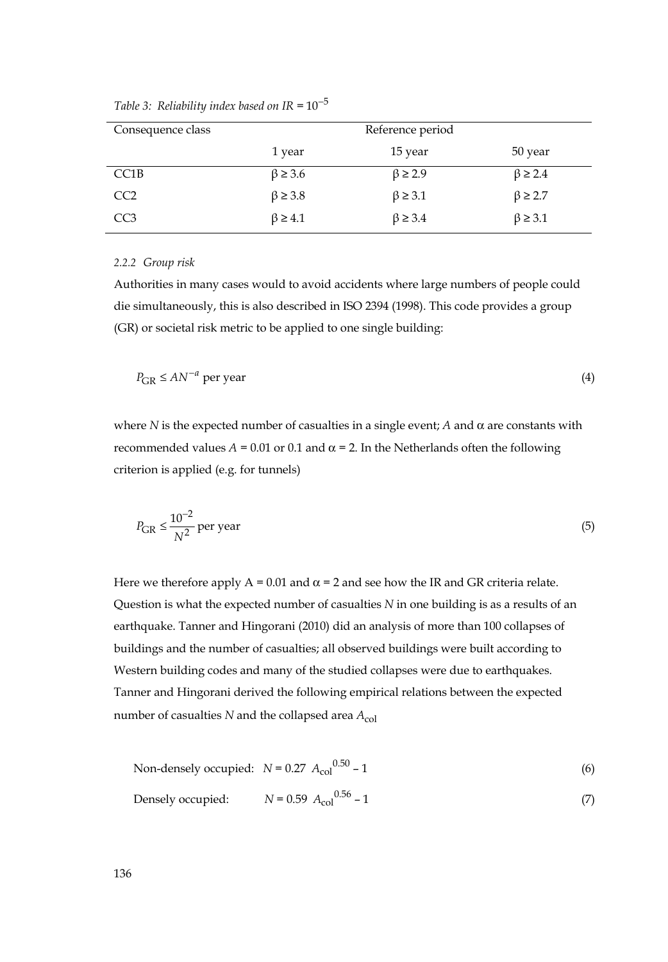| Consequence class |                  | Reference period |                  |
|-------------------|------------------|------------------|------------------|
|                   | 1 year           | 15 year          | 50 year          |
| CC1B              | $\beta \geq 3.6$ | $\beta \geq 2.9$ | $\beta \geq 2.4$ |
| CC <sub>2</sub>   | $\beta \geq 3.8$ | $\beta \geq 3.1$ | $\beta \geq 2.7$ |
| CC <sub>3</sub>   | $\beta \geq 4.1$ | $\beta \geq 3.4$ | $\beta \geq 3.1$ |

*Table 3: Reliability index based on IR* =  $10^{-5}$ 

#### *2.2.2 Group risk*

Authorities in many cases would to avoid accidents where large numbers of people could die simultaneously, this is also described in ISO 2394 (1998). This code provides a group (GR) or societal risk metric to be applied to one single building:

$$
P_{\rm GR} \leq A N^{-a} \text{ per year} \tag{4}
$$

where *N* is the expected number of casualties in a single event; *A* and  $\alpha$  are constants with recommended values  $A = 0.01$  or 0.1 and  $α = 2$ . In the Netherlands often the following criterion is applied (e.g. for tunnels)

$$
P_{\rm GR} \le \frac{10^{-2}}{N^2} \text{ per year}
$$
 (5)

Here we therefore apply  $A = 0.01$  and  $\alpha = 2$  and see how the IR and GR criteria relate. Question is what the expected number of casualties *N* in one building is as a results of an earthquake. Tanner and Hingorani (2010) did an analysis of more than 100 collapses of buildings and the number of casualties; all observed buildings were built according to Western building codes and many of the studied collapses were due to earthquakes. Tanner and Hingorani derived the following empirical relations between the expected number of casualties  $N$  and the collapsed area  $A_{\text{col}}$ 

Non-densely occupied: 
$$
N = 0.27 A_{\text{col}}^{0.50} - 1
$$
 (6)  
Densely occupied:  $N = 0.59 A_{\text{col}}^{0.56} - 1$  (7)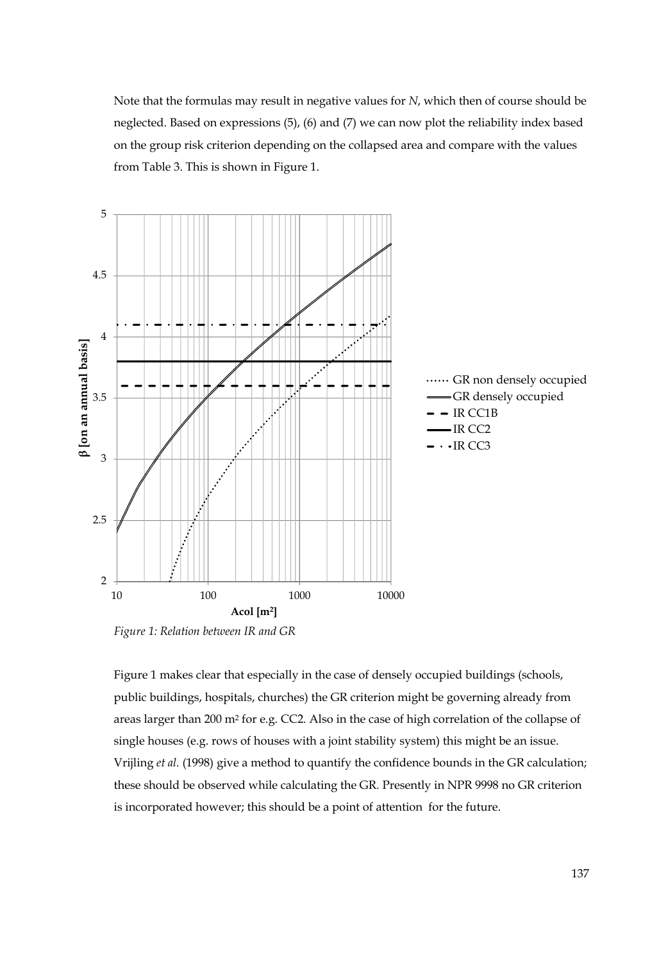Note that the formulas may result in negative values for *N*, which then of course should be neglected. Based on expressions (5), (6) and (7) we can now plot the reliability index based on the group risk criterion depending on the collapsed area and compare with the values from Table 3. This is shown in Figure 1.



*Figure 1: Relation between IR and GR* 

Figure 1 makes clear that especially in the case of densely occupied buildings (schools, public buildings, hospitals, churches) the GR criterion might be governing already from areas larger than 200 m2 for e.g. CC2. Also in the case of high correlation of the collapse of single houses (e.g. rows of houses with a joint stability system) this might be an issue. Vrijling *et al.* (1998) give a method to quantify the confidence bounds in the GR calculation; these should be observed while calculating the GR. Presently in NPR 9998 no GR criterion is incorporated however; this should be a point of attention for the future.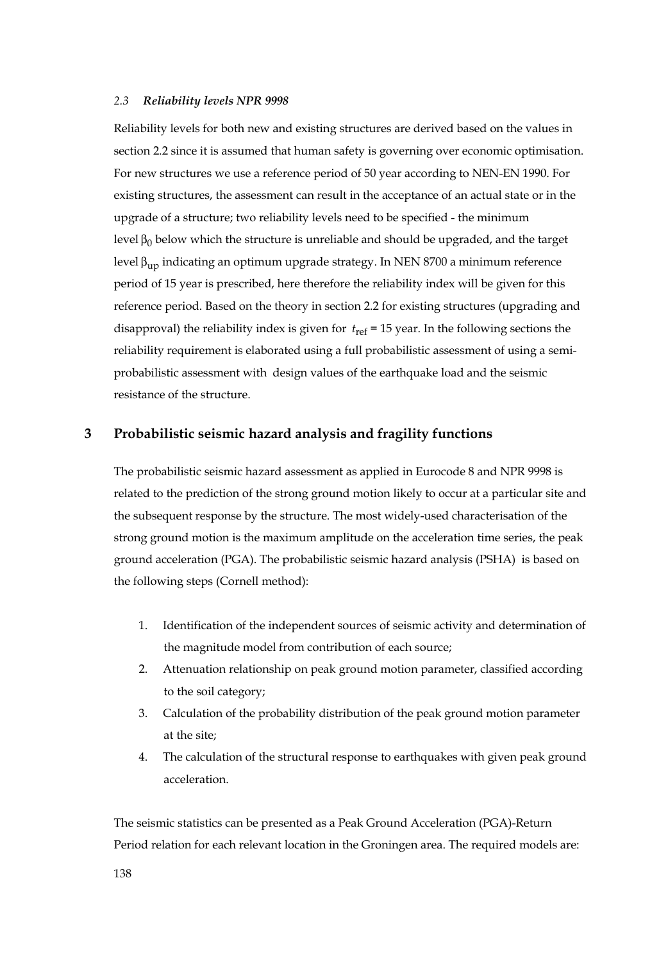#### *2.3 Reliability levels NPR 9998*

Reliability levels for both new and existing structures are derived based on the values in section 2.2 since it is assumed that human safety is governing over economic optimisation. For new structures we use a reference period of 50 year according to NEN-EN 1990. For existing structures, the assessment can result in the acceptance of an actual state or in the upgrade of a structure; two reliability levels need to be specified - the minimum level  $β_0$  below which the structure is unreliable and should be upgraded, and the target level  $β_{up}$  indicating an optimum upgrade strategy. In NEN 8700 a minimum reference period of 15 year is prescribed, here therefore the reliability index will be given for this reference period. Based on the theory in section 2.2 for existing structures (upgrading and disapproval) the reliability index is given for  $t_{\text{ref}} = 15$  year. In the following sections the reliability requirement is elaborated using a full probabilistic assessment of using a semiprobabilistic assessment with design values of the earthquake load and the seismic resistance of the structure.

## **3 Probabilistic seismic hazard analysis and fragility functions**

The probabilistic seismic hazard assessment as applied in Eurocode 8 and NPR 9998 is related to the prediction of the strong ground motion likely to occur at a particular site and the subsequent response by the structure. The most widely-used characterisation of the strong ground motion is the maximum amplitude on the acceleration time series, the peak ground acceleration (PGA). The probabilistic seismic hazard analysis (PSHA) is based on the following steps (Cornell method):

- 1. Identification of the independent sources of seismic activity and determination of the magnitude model from contribution of each source;
- 2. Attenuation relationship on peak ground motion parameter, classified according to the soil category;
- 3. Calculation of the probability distribution of the peak ground motion parameter at the site;
- 4. The calculation of the structural response to earthquakes with given peak ground acceleration.

The seismic statistics can be presented as a Peak Ground Acceleration (PGA)-Return Period relation for each relevant location in the Groningen area. The required models are: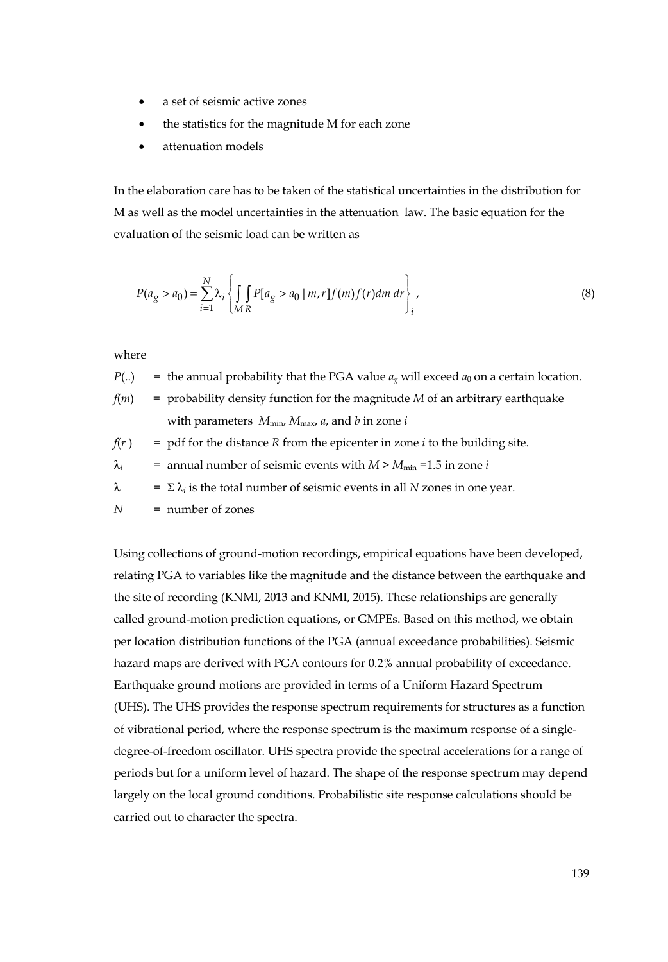- a set of seismic active zones
- the statistics for the magnitude M for each zone
- attenuation models

In the elaboration care has to be taken of the statistical uncertainties in the distribution for M as well as the model uncertainties in the attenuation law. The basic equation for the evaluation of the seismic load can be written as

$$
P(a_g > a_0) = \sum_{i=1}^{N} \lambda_i \left\{ \int_{MR} P[a_g > a_0 \mid m, r] f(m) f(r) dm \, dr \right\},\tag{8}
$$

where

- $P(.)$  = the annual probability that the PGA value  $a_g$  will exceed  $a_0$  on a certain location.
- *f*(*m*) = probability density function for the magnitude *M* of an arbitrary earthquake with parameters  $M_{\text{min}}$ ,  $M_{\text{max}}$ ,  $a$ , and  $b$  in zone  $i$

 $f(r)$  = pdf for the distance *R* from the epicenter in zone *i* to the building site.

$$
\lambda_i
$$
 = annual number of seismic events with  $M > M_{\text{min}} = 1.5$  in zone *i*

 $\lambda$  =  $\Sigma \lambda_i$  is the total number of seismic events in all *N* zones in one year.

*N* = number of zones

Using collections of ground-motion recordings, empirical equations have been developed, relating PGA to variables like the magnitude and the distance between the earthquake and the site of recording (KNMI, 2013 and KNMI, 2015). These relationships are generally called ground-motion prediction equations, or GMPEs. Based on this method, we obtain per location distribution functions of the PGA (annual exceedance probabilities). Seismic hazard maps are derived with PGA contours for 0.2% annual probability of exceedance. Earthquake ground motions are provided in terms of a Uniform Hazard Spectrum (UHS). The UHS provides the response spectrum requirements for structures as a function of vibrational period, where the response spectrum is the maximum response of a singledegree-of-freedom oscillator. UHS spectra provide the spectral accelerations for a range of periods but for a uniform level of hazard. The shape of the response spectrum may depend largely on the local ground conditions. Probabilistic site response calculations should be carried out to character the spectra.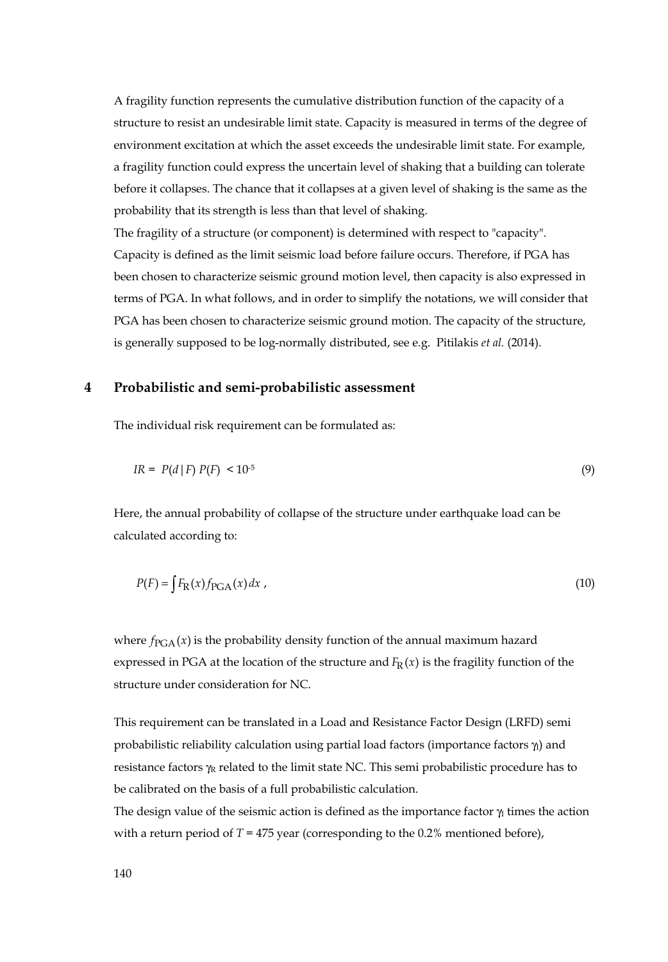A fragility function represents the cumulative distribution function of the capacity of a structure to resist an undesirable limit state. Capacity is measured in terms of the degree of environment excitation at which the asset exceeds the undesirable limit state. For example, a fragility function could express the uncertain level of shaking that a building can tolerate before it collapses. The chance that it collapses at a given level of shaking is the same as the probability that its strength is less than that level of shaking.

The fragility of a structure (or component) is determined with respect to "capacity". Capacity is defined as the limit seismic load before failure occurs. Therefore, if PGA has been chosen to characterize seismic ground motion level, then capacity is also expressed in terms of PGA. In what follows, and in order to simplify the notations, we will consider that PGA has been chosen to characterize seismic ground motion. The capacity of the structure, is generally supposed to be log-normally distributed, see e.g. Pitilakis *et al.* (2014).

## **4 Probabilistic and semi-probabilistic assessment**

The individual risk requirement can be formulated as:

$$
IR = P(d \mid F) P(F) < 10^{-5} \tag{9}
$$

Here, the annual probability of collapse of the structure under earthquake load can be calculated according to:

$$
P(F) = \int F_{R}(x) f_{PGA}(x) dx
$$
\n<sup>(10)</sup>

where  $f_{PGA}(x)$  is the probability density function of the annual maximum hazard expressed in PGA at the location of the structure and  $F_R(x)$  is the fragility function of the structure under consideration for NC.

This requirement can be translated in a Load and Resistance Factor Design (LRFD) semi probabilistic reliability calculation using partial load factors (importance factors  $\gamma_1$ ) and resistance factors  $\gamma_R$  related to the limit state NC. This semi probabilistic procedure has to be calibrated on the basis of a full probabilistic calculation.

The design value of the seismic action is defined as the importance factor  $\gamma$  times the action with a return period of  $T = 475$  year (corresponding to the 0.2% mentioned before),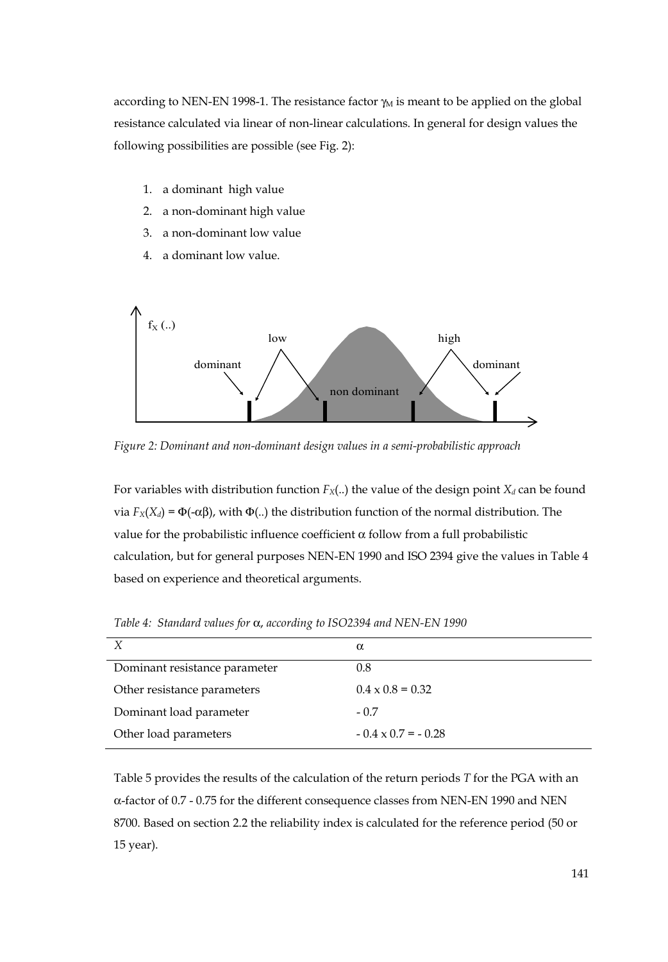according to NEN-EN 1998-1. The resistance factor  $\gamma_M$  is meant to be applied on the global resistance calculated via linear of non-linear calculations. In general for design values the following possibilities are possible (see Fig. 2):

- 1. a dominant high value
- 2. a non-dominant high value
- 3. a non-dominant low value
- 4. a dominant low value.



*Figure 2: Dominant and non-dominant design values in a semi-probabilistic approach* 

For variables with distribution function  $F_X(.)$  the value of the design point  $X_d$  can be found via  $F_X(X_d) = \Phi(-\alpha\beta)$ , with  $\Phi(.)$  the distribution function of the normal distribution. The value for the probabilistic influence coefficient α follow from a full probabilistic calculation, but for general purposes NEN-EN 1990 and ISO 2394 give the values in Table 4 based on experience and theoretical arguments.

| X                             | $\alpha$                  |
|-------------------------------|---------------------------|
| Dominant resistance parameter | 0.8                       |
| Other resistance parameters   | $0.4 \times 0.8 = 0.32$   |
| Dominant load parameter       | $-0.7$                    |
| Other load parameters         | $-0.4 \times 0.7 = -0.28$ |

*Table 4: Standard values for* α, *according to ISO2394 and NEN-EN 1990*

Table 5 provides the results of the calculation of the return periods *T* for the PGA with an α-factor of 0.7 - 0.75 for the different consequence classes from NEN-EN 1990 and NEN 8700. Based on section 2.2 the reliability index is calculated for the reference period (50 or 15 year).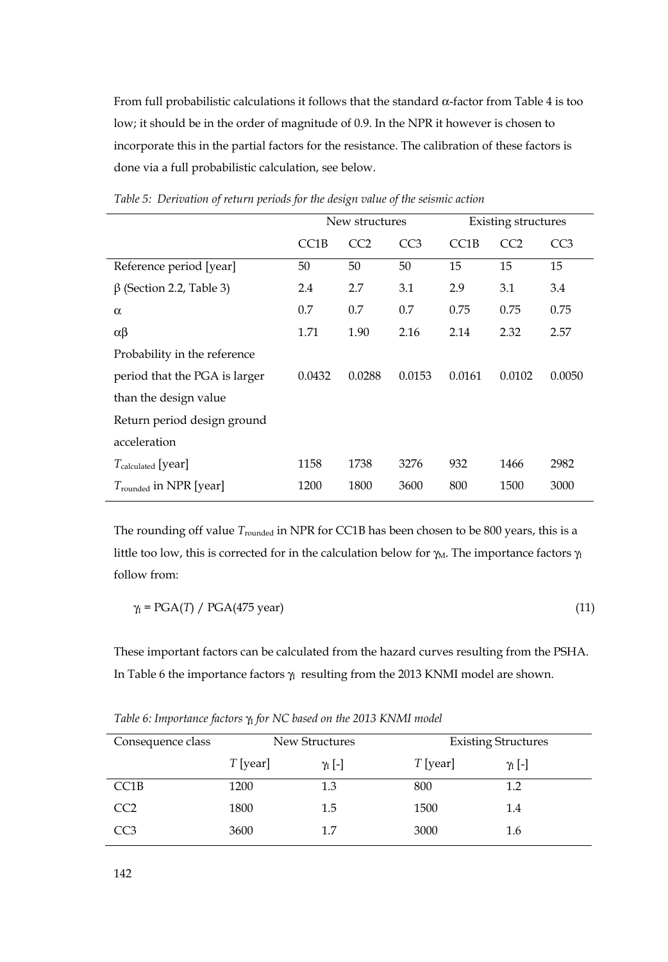From full probabilistic calculations it follows that the standard α-factor from Table 4 is too low; it should be in the order of magnitude of 0.9. In the NPR it however is chosen to incorporate this in the partial factors for the resistance. The calibration of these factors is done via a full probabilistic calculation, see below.

|                                | New structures |        |                 | <b>Existing structures</b> |        |                 |
|--------------------------------|----------------|--------|-----------------|----------------------------|--------|-----------------|
|                                | CC1B           | CC2    | CC <sub>3</sub> | CC <sub>1</sub> B          | CC2    | CC <sub>3</sub> |
| Reference period [year]        | 50             | 50     | 50              | 15                         | 15     | 15              |
| $\beta$ (Section 2.2, Table 3) | 2.4            | 2.7    | 3.1             | 2.9                        | 3.1    | 3.4             |
| $\alpha$                       | 0.7            | 0.7    | 0.7             | 0.75                       | 0.75   | 0.75            |
| $\alpha\beta$                  | 1.71           | 1.90   | 2.16            | 2.14                       | 2.32   | 2.57            |
| Probability in the reference   |                |        |                 |                            |        |                 |
| period that the PGA is larger  | 0.0432         | 0.0288 | 0.0153          | 0.0161                     | 0.0102 | 0.0050          |
| than the design value          |                |        |                 |                            |        |                 |
| Return period design ground    |                |        |                 |                            |        |                 |
| acceleration                   |                |        |                 |                            |        |                 |
| $T_{calculated}$ [year]        | 1158           | 1738   | 3276            | 932                        | 1466   | 2982            |
| $T_{rounded}$ in NPR [year]    | 1200           | 1800   | 3600            | 800                        | 1500   | 3000            |

*Table 5: Derivation of return periods for the design value of the seismic action* 

The rounding off value *T*rounded in NPR for CC1B has been chosen to be 800 years, this is a little too low, this is corrected for in the calculation below for  $\gamma_M$ . The importance factors  $\gamma_I$ follow from:

$$
\gamma_I = PGA(T) / PGA(475 \text{ year}) \tag{11}
$$

These important factors can be calculated from the hazard curves resulting from the PSHA. In Table 6 the importance factors  $\gamma_1$  resulting from the 2013 KNMI model are shown.

| Consequence class | New Structures |                | <b>Existing Structures</b> |                |  |
|-------------------|----------------|----------------|----------------------------|----------------|--|
|                   | $T$ [year]     | $\gamma_I$ [-] | $T$ [year]                 | $\gamma_I$ [-] |  |
| CC1B              | 1200           | 1.3            | 800                        | 1.2            |  |
| CC <sub>2</sub>   | 1800           | 1.5            | 1500                       | 1.4            |  |
| CC3               | 3600           | 1.7            | 3000                       | 1.6            |  |

*Table 6: Importance factors*  $γ<sub>I</sub>$  *for NC based on the 2013 KNMI model*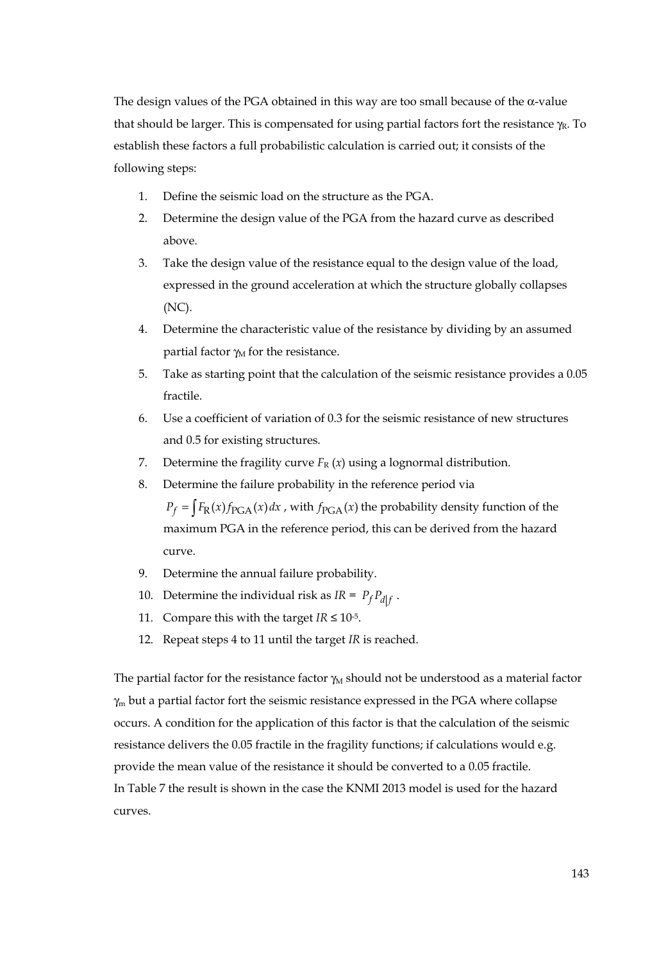The design values of the PGA obtained in this way are too small because of the α-value that should be larger. This is compensated for using partial factors fort the resistance  $\gamma_R$ . To establish these factors a full probabilistic calculation is carried out; it consists of the following steps:

- 1. Define the seismic load on the structure as the PGA.
- 2. Determine the design value of the PGA from the hazard curve as described above.
- 3. Take the design value of the resistance equal to the design value of the load, expressed in the ground acceleration at which the structure globally collapses (NC).
- 4. Determine the characteristic value of the resistance by dividing by an assumed partial factor  $\gamma_M$  for the resistance.
- 5. Take as starting point that the calculation of the seismic resistance provides a 0.05 fractile.
- 6. Use a coefficient of variation of 0.3 for the seismic resistance of new structures and 0.5 for existing structures.
- 7. Determine the fragility curve  $F_R(x)$  using a lognormal distribution.
- 8. Determine the failure probability in the reference period via

 $P_f = \int F_R(x) f_{PGA}(x) dx$ , with  $f_{PGA}(x)$  the probability density function of the maximum PGA in the reference period, this can be derived from the hazard curve.

- 9. Determine the annual failure probability.
- 10. Determine the individual risk as  $IR = P_f P_{df}$ .
- 11. Compare this with the target  $IR \le 10^{-5}$ .
- 12. Repeat steps 4 to 11 until the target *IR* is reached.

The partial factor for the resistance factor  $\gamma_M$  should not be understood as a material factor γm but a partial factor fort the seismic resistance expressed in the PGA where collapse occurs. A condition for the application of this factor is that the calculation of the seismic resistance delivers the 0.05 fractile in the fragility functions; if calculations would e.g. provide the mean value of the resistance it should be converted to a 0.05 fractile. In Table 7 the result is shown in the case the KNMI 2013 model is used for the hazard curves.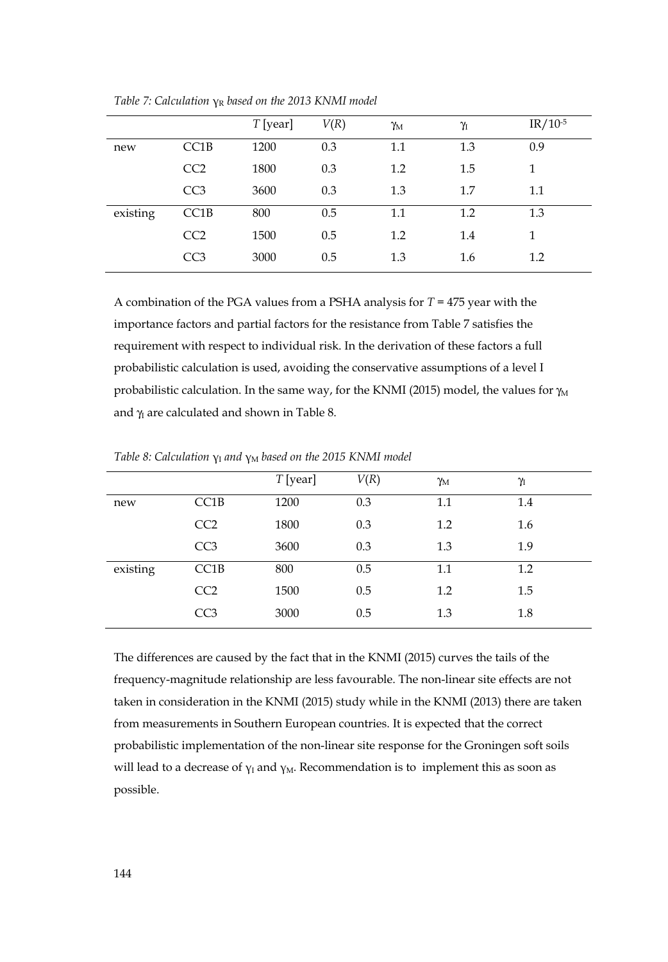|          |                   | $T$ [year] | V(R) | $\gamma_M$ | $\gamma_I$ | $IR/10^{-5}$ |
|----------|-------------------|------------|------|------------|------------|--------------|
| new      | CC <sub>1</sub> B | 1200       | 0.3  | 1.1        | 1.3        | 0.9          |
|          | CC2               | 1800       | 0.3  | 1.2        | 1.5        | 1            |
|          | CC <sub>3</sub>   | 3600       | 0.3  | 1.3        | 1.7        | 1.1          |
| existing | CC1B              | 800        | 0.5  | $1.1\,$    | 1.2        | 1.3          |
|          | CC2               | 1500       | 0.5  | 1.2        | 1.4        | 1            |
|          | CC <sub>3</sub>   | 3000       | 0.5  | 1.3        | 1.6        | 1.2          |

*Table 7: Calculation γR based on the 2013 KNMI model* 

A combination of the PGA values from a PSHA analysis for *T* = 475 year with the importance factors and partial factors for the resistance from Table 7 satisfies the requirement with respect to individual risk. In the derivation of these factors a full probabilistic calculation is used, avoiding the conservative assumptions of a level I probabilistic calculation. In the same way, for the KNMI (2015) model, the values for  $\gamma_M$ and  $\gamma$  are calculated and shown in Table 8.

|          |                   | $T$ [year] | V(R) | $\gamma_{\rm M}$ | γ   |
|----------|-------------------|------------|------|------------------|-----|
| new      | CC <sub>1</sub> B | 1200       | 0.3  | 1.1              | 1.4 |
|          | CC <sub>2</sub>   | 1800       | 0.3  | 1.2              | 1.6 |
|          | CC <sub>3</sub>   | 3600       | 0.3  | 1.3              | 1.9 |
| existing | CC1B              | 800        | 0.5  | $1.1\,$          | 1.2 |
|          | CC <sub>2</sub>   | 1500       | 0.5  | 1.2              | 1.5 |
|          | CC <sub>3</sub>   | 3000       | 0.5  | 1.3              | 1.8 |

*Table 8: Calculation γ*<sup>1</sup> *and γ<sub>M</sub> based on the 2015 KNMI model* 

The differences are caused by the fact that in the KNMI (2015) curves the tails of the frequency-magnitude relationship are less favourable. The non-linear site effects are not taken in consideration in the KNMI (2015) study while in the KNMI (2013) there are taken from measurements in Southern European countries. It is expected that the correct probabilistic implementation of the non-linear site response for the Groningen soft soils will lead to a decrease of  $\gamma_I$  and  $\gamma_M$ . Recommendation is to implement this as soon as possible.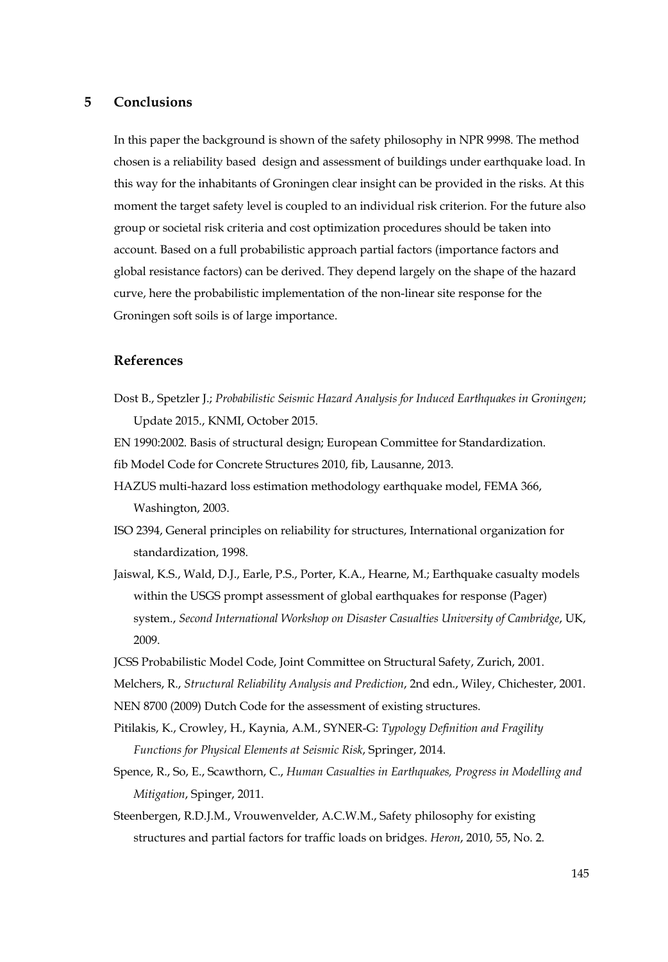# **5 Conclusions**

In this paper the background is shown of the safety philosophy in NPR 9998. The method chosen is a reliability based design and assessment of buildings under earthquake load. In this way for the inhabitants of Groningen clear insight can be provided in the risks. At this moment the target safety level is coupled to an individual risk criterion. For the future also group or societal risk criteria and cost optimization procedures should be taken into account. Based on a full probabilistic approach partial factors (importance factors and global resistance factors) can be derived. They depend largely on the shape of the hazard curve, here the probabilistic implementation of the non-linear site response for the Groningen soft soils is of large importance.

# **References**

Dost B., Spetzler J.; *Probabilistic Seismic Hazard Analysis for Induced Earthquakes in Groningen*; Update 2015., KNMI, October 2015.

EN 1990:2002. Basis of structural design; European Committee for Standardization.

fib Model Code for Concrete Structures 2010, fib, Lausanne, 2013.

- HAZUS multi-hazard loss estimation methodology earthquake model, FEMA 366, Washington, 2003.
- ISO 2394, General principles on reliability for structures, International organization for standardization, 1998.
- Jaiswal, K.S., Wald, D.J., Earle, P.S., Porter, K.A., Hearne, M.; Earthquake casualty models within the USGS prompt assessment of global earthquakes for response (Pager) system., *Second International Workshop on Disaster Casualties University of Cambridge*, UK, 2009.
- JCSS Probabilistic Model Code, Joint Committee on Structural Safety, Zurich, 2001.
- Melchers, R., *Structural Reliability Analysis and Prediction*, 2nd edn., Wiley, Chichester, 2001.
- NEN 8700 (2009) Dutch Code for the assessment of existing structures.
- Pitilakis, K., Crowley, H., Kaynia, A.M., SYNER-G: *Typology Definition and Fragility Functions for Physical Elements at Seismic Risk*, Springer, 2014.
- Spence, R., So, E., Scawthorn, C., *Human Casualties in Earthquakes, Progress in Modelling and Mitigation*, Spinger, 2011.
- Steenbergen, R.D.J.M., Vrouwenvelder, A.C.W.M., Safety philosophy for existing structures and partial factors for traffic loads on bridges. *Heron*, 2010, 55, No. 2.